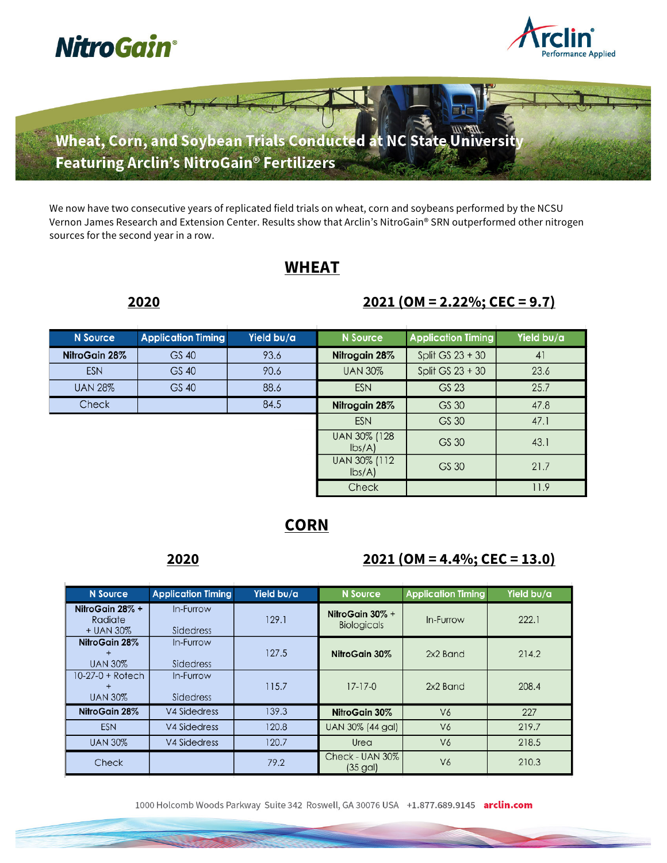



Wheat, Corn, and Soybean Trials Conducted at NC State University Featuring Arclin's NitroGain® Fertilizers

We now have two consecutive years of replicated field trials on wheat, corn and soybeans performed by the NCSU Vernon James Research and Extension Center. Results show that Arclin's NitroGain® SRN outperformed other nitrogen sources for the second year in a row.

# **WHEAT**

## **2020 2021 (OM = 2.22%; CEC = 9.7)**

| <b>N</b> Source | <b>Application Timing</b> | Yield bu/a | N Source                                  | <b>Application Timing</b> | Yield bu/a |
|-----------------|---------------------------|------------|-------------------------------------------|---------------------------|------------|
| NitroGain 28%   | GS 40                     | 93.6       | Nitrogain 28%                             | Split GS $23 + 30$        | 41         |
| <b>ESN</b>      | GS 40                     | 90.6       | <b>UAN 30%</b>                            | Split GS $23 + 30$        | 23.6       |
| <b>UAN 28%</b>  | GS 40                     | 88.6       | <b>ESN</b>                                | GS 23                     | 25.7       |
| <b>Check</b>    |                           | 84.5       | Nitrogain 28%                             | GS 30                     | 47.8       |
|                 |                           |            | <b>ESN</b>                                | GS 30                     | 47.1       |
|                 |                           |            | UAN 30% (128<br>$\mathsf{lbs}/\mathsf{A}$ | GS 30                     | 43.1       |
|                 |                           |            | UAN 30% (112<br>$\mathsf{lbs}/\mathsf{A}$ | GS 30                     | 21.7       |
|                 |                           |            | Check                                     |                           | 11.9       |

# **CORN**

## **2020 2021 (OM = 4.4%; CEC = 13.0)**

| <b>N</b> Source                              | <b>Application Timing</b>     | Yield bu/a | <b>N</b> Source                          | <b>Application Timing</b> | Yield bu/a |
|----------------------------------------------|-------------------------------|------------|------------------------------------------|---------------------------|------------|
| NitroGain 28% +<br>Radiate<br>+ UAN 30%      | In-Furrow<br><b>Sidedress</b> | 129.1      | NitroGain $30\% +$<br><b>Biologicals</b> | In-Furrow                 | 222.1      |
| NitroGain 28%<br>$\ddot{}$<br><b>UAN 30%</b> | In-Furrow<br>Sidedress        | 127.5      | NitroGain 30%                            | 2x2 Band                  | 214.2      |
| 10-27-0 + Rotech<br>$\pm$<br><b>UAN 30%</b>  | In-Furrow<br><b>Sidedress</b> | 115.7      | $17 - 17 - 0$                            | 2x2 Band                  | 208.4      |
| NitroGain 28%                                | V4 Sidedress                  | 139.3      | NitroGain 30%                            | V <sub>6</sub>            | 227        |
| <b>ESN</b>                                   | V4 Sidedress                  | 120.8      | UAN 30% (44 gal)                         | V <sub>6</sub>            | 219.7      |
| <b>UAN 30%</b>                               | <b>V4 Sidedress</b>           | 120.7      | Urea                                     | V <sub>6</sub>            | 218.5      |
| <b>Check</b>                                 |                               | 79.2       | Check - UAN 30%<br>$(35 \text{ gal})$    | V <sub>6</sub>            | 210.3      |

1000 Holcomb Woods Parkway Suite 342 Roswell, GA 30076 USA +1.877.689.9145 arclin.com